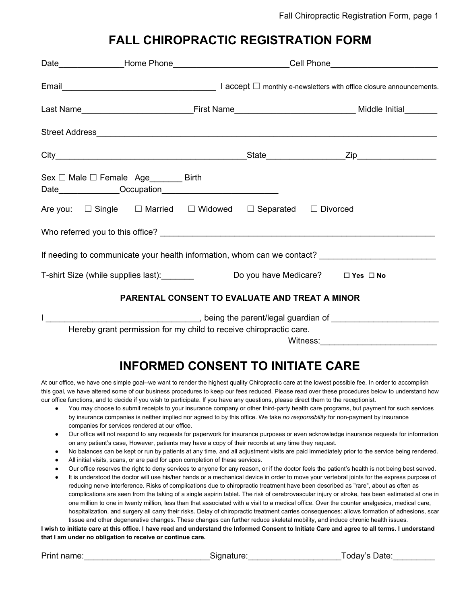#### **FALL CHIROPRACTIC REGISTRATION FORM**

|                                                                                                     | Date_________________Home Phone_____________________________Cell Phone_____________________________ |                                                |  |  |  |
|-----------------------------------------------------------------------------------------------------|-----------------------------------------------------------------------------------------------------|------------------------------------------------|--|--|--|
|                                                                                                     |                                                                                                     |                                                |  |  |  |
|                                                                                                     |                                                                                                     |                                                |  |  |  |
|                                                                                                     |                                                                                                     |                                                |  |  |  |
|                                                                                                     |                                                                                                     |                                                |  |  |  |
| $Sex \Box Male \Box Female Age$ Birth                                                               |                                                                                                     |                                                |  |  |  |
| Are you: □ Single □ Married □ Widowed □ Separated □ Divorced                                        |                                                                                                     |                                                |  |  |  |
|                                                                                                     |                                                                                                     |                                                |  |  |  |
| If needing to communicate your health information, whom can we contact? ___________________________ |                                                                                                     |                                                |  |  |  |
| T-shirt Size (while supplies last): Do you have Medicare? Dives Dive                                |                                                                                                     |                                                |  |  |  |
|                                                                                                     |                                                                                                     | PARENTAL CONSENT TO EVALUATE AND TREAT A MINOR |  |  |  |
|                                                                                                     |                                                                                                     |                                                |  |  |  |
| Hereby grant permission for my child to receive chiropractic care.                                  |                                                                                                     |                                                |  |  |  |

Witness:

# **INFORMED CONSENT TO INITIATE CARE**

At our office, we have one simple goal--we want to render the highest quality Chiropractic care at the lowest possible fee. In order to accomplish this goal, we have altered some of our business procedures to keep our fees reduced. Please read over these procedures below to understand how our office functions, and to decide if you wish to participate. If you have any questions, please direct them to the receptionist.

- You may choose to submit receipts to your insurance company or other third-party health care programs, but payment for such services by insurance companies is neither implied nor agreed to by this office. We take *no responsibility* for non-payment by insurance companies for services rendered at our office.
- Our office will not respond to any requests for paperwork for insurance purposes or even acknowledge insurance requests for information on any patient's case, However, patients may have a copy of their records at any time they request.
- No balances can be kept or run by patients at any time, and all adjustment visits are paid immediately prior to the service being rendered.
- All initial visits, scans, or are paid for upon completion of these services.
- Our office reserves the right to deny services to anyone for any reason, or if the doctor feels the patient's health is not being best served.
- It is understood the doctor will use his/her hands or a mechanical device in order to move your vertebral joints for the express purpose of reducing nerve interference. Risks of complications due to chiropractic treatment have been described as "rare", about as often as complications are seen from the taking of a single aspirin tablet. The risk of cerebrovascular injury or stroke, has been estimated at one in one million to one in twenty million, less than that associated with a visit to a medical office. Over the counter analgesics, medical care, hospitalization, and surgery all carry their risks. Delay of chiropractic treatment carries consequences: allows formation of adhesions, scar tissue and other degenerative changes. These changes can further reduce skeletal mobility, and induce chronic health issues.

I wish to initiate care at this office. I have read and understand the Informed Consent to Initiate Care and agree to all terms. I understand **that I am under no obligation to receive or continue care.**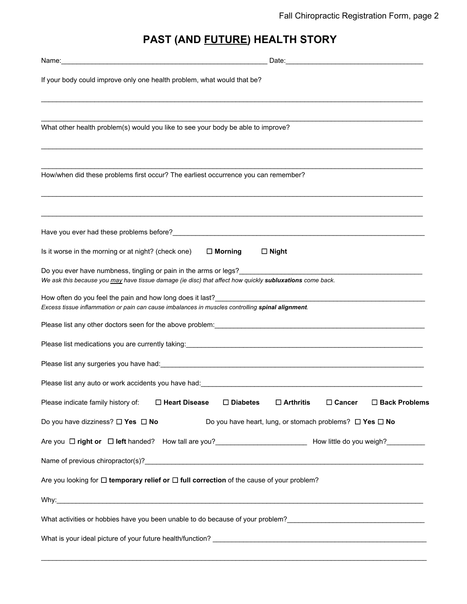## **PAST (AND FUTURE) HEALTH STORY**

| If your body could improve only one health problem, what would that be?                                                                                                                                                                                                                                                                      |
|----------------------------------------------------------------------------------------------------------------------------------------------------------------------------------------------------------------------------------------------------------------------------------------------------------------------------------------------|
|                                                                                                                                                                                                                                                                                                                                              |
| What other health problem(s) would you like to see your body be able to improve?                                                                                                                                                                                                                                                             |
| How/when did these problems first occur? The earliest occurrence you can remember?                                                                                                                                                                                                                                                           |
|                                                                                                                                                                                                                                                                                                                                              |
|                                                                                                                                                                                                                                                                                                                                              |
| Is it worse in the morning or at night? (check one) $\Box$ Morning<br>$\Box$ Night                                                                                                                                                                                                                                                           |
| Do you ever have numbness, tingling or pain in the arms or legs?<br>The same state of the state of the state of the state of the state of the state of the state of the state of the state of the state of the state of the stat<br>We ask this because you may have tissue damage (ie disc) that affect how quickly subluxations come back. |
| Excess tissue inflammation or pain can cause imbalances in muscles controlling spinal alignment.                                                                                                                                                                                                                                             |
|                                                                                                                                                                                                                                                                                                                                              |
| Please list medications you are currently taking: example and the state of the state of the state of the state of the state of the state of the state of the state of the state of the state of the state of the state of the                                                                                                                |
| Please list any surgeries you have had: example and a state of the state of the state of the state of the state of the state of the state of the state of the state of the state of the state of the state of the state of the                                                                                                               |
| Please list any auto or work accidents you have had: North American and American control of the state of the state of the state of the state of the state of the state of the state of the state of the state of the state of                                                                                                                |
| $\Box$ Arthritis<br>$\Box$ Cancer<br>Please indicate family history of:<br>$\Box$ Heart Disease<br>$\square$ Diabetes<br>$\Box$ Back Problems                                                                                                                                                                                                |
| Do you have dizziness? $\square$ Yes $\square$ No<br>Do you have heart, lung, or stomach problems? $\Box$ Yes $\Box$ No                                                                                                                                                                                                                      |
| Are you □ right or □ left handed? How tall are you?<br>Move in the Mow little do you weigh?<br>Move it is do you weigh?<br>Move it is do you weigh?<br>Move it is do you weigh?<br>Move it is do you weigh?<br>Move it is do you wei                                                                                                         |
|                                                                                                                                                                                                                                                                                                                                              |
| Are you looking for $\Box$ temporary relief or $\Box$ full correction of the cause of your problem?                                                                                                                                                                                                                                          |
|                                                                                                                                                                                                                                                                                                                                              |
|                                                                                                                                                                                                                                                                                                                                              |
|                                                                                                                                                                                                                                                                                                                                              |

 $\mathcal{L}_\mathcal{L} = \mathcal{L}_\mathcal{L} = \mathcal{L}_\mathcal{L} = \mathcal{L}_\mathcal{L} = \mathcal{L}_\mathcal{L} = \mathcal{L}_\mathcal{L} = \mathcal{L}_\mathcal{L} = \mathcal{L}_\mathcal{L} = \mathcal{L}_\mathcal{L} = \mathcal{L}_\mathcal{L} = \mathcal{L}_\mathcal{L} = \mathcal{L}_\mathcal{L} = \mathcal{L}_\mathcal{L} = \mathcal{L}_\mathcal{L} = \mathcal{L}_\mathcal{L} = \mathcal{L}_\mathcal{L} = \mathcal{L}_\mathcal{L}$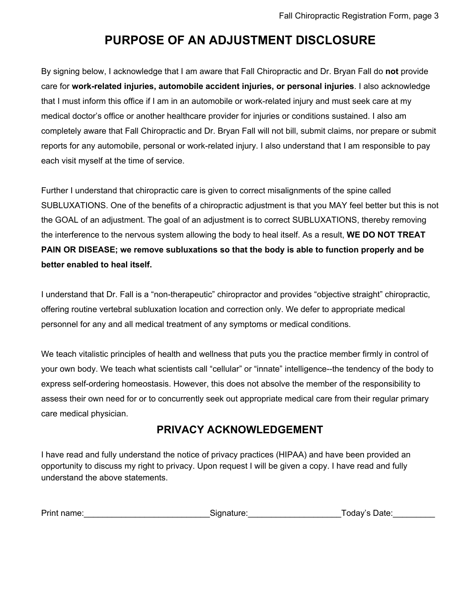## **PURPOSE OF AN ADJUSTMENT DISCLOSURE**

By signing below, I acknowledge that I am aware that Fall Chiropractic and Dr. Bryan Fall do **not** provide care for **work-related injuries, automobile accident injuries, or personal injuries**. I also acknowledge that I must inform this office if I am in an automobile or work-related injury and must seek care at my medical doctor's office or another healthcare provider for injuries or conditions sustained. I also am completely aware that Fall Chiropractic and Dr. Bryan Fall will not bill, submit claims, nor prepare or submit reports for any automobile, personal or work-related injury. I also understand that I am responsible to pay each visit myself at the time of service.

Further I understand that chiropractic care is given to correct misalignments of the spine called SUBLUXATIONS. One of the benefits of a chiropractic adjustment is that you MAY feel better but this is not the GOAL of an adjustment. The goal of an adjustment is to correct SUBLUXATIONS, thereby removing the interference to the nervous system allowing the body to heal itself. As a result, **WE DO NOT TREAT PAIN OR DISEASE; we remove subluxations so that the body is able to function properly and be better enabled to heal itself.**

I understand that Dr. Fall is a "non-therapeutic" chiropractor and provides "objective straight" chiropractic, offering routine vertebral subluxation location and correction only. We defer to appropriate medical personnel for any and all medical treatment of any symptoms or medical conditions.

We teach vitalistic principles of health and wellness that puts you the practice member firmly in control of your own body. We teach what scientists call "cellular" or "innate" intelligence--the tendency of the body to express self-ordering homeostasis. However, this does not absolve the member of the responsibility to assess their own need for or to concurrently seek out appropriate medical care from their regular primary care medical physician.

#### **PRIVACY ACKNOWLEDGEMENT**

I have read and fully understand the notice of privacy practices (HIPAA) and have been provided an opportunity to discuss my right to privacy. Upon request I will be given a copy. I have read and fully understand the above statements.

| Print name:<br>Today's Date:<br>Signature: |  |
|--------------------------------------------|--|
|--------------------------------------------|--|